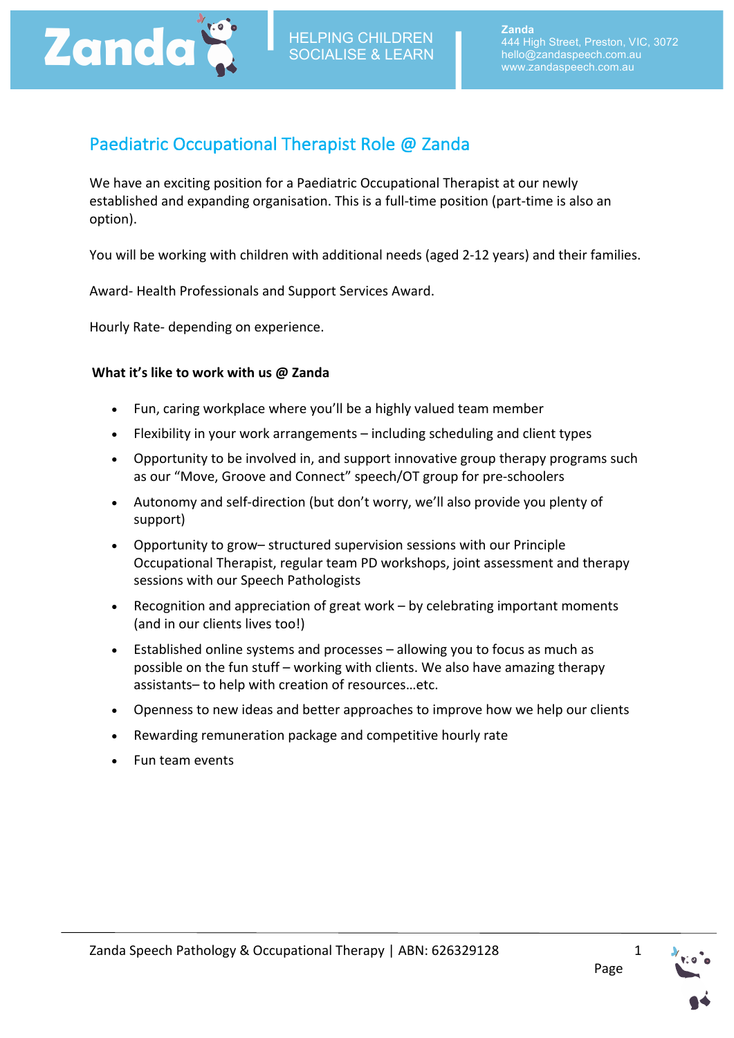

# Paediatric Occupational Therapist Role @ Zanda

We have an exciting position for a Paediatric Occupational Therapist at our newly established and expanding organisation. This is a full-time position (part-time is also an option). 

You will be working with children with additional needs (aged 2-12 years) and their families.

Award- Health Professionals and Support Services Award.

Hourly Rate- depending on experience.

# **What it's like to work with us @ Zanda**

- Fun, caring workplace where you'll be a highly valued team member
- Flexibility in your work arrangements including scheduling and client types
- Opportunity to be involved in, and support innovative group therapy programs such as our "Move, Groove and Connect" speech/OT group for pre-schoolers
- Autonomy and self-direction (but don't worry, we'll also provide you plenty of support)
- Opportunity to grow- structured supervision sessions with our Principle Occupational Therapist, regular team PD workshops, joint assessment and therapy sessions with our Speech Pathologists
- Recognition and appreciation of great work by celebrating important moments (and in our clients lives too!)
- Established online systems and processes  $-$  allowing you to focus as much as possible on the fun stuff – working with clients. We also have amazing therapy assistants- to help with creation of resources...etc.
- Openness to new ideas and better approaches to improve how we help our clients
- Rewarding remuneration package and competitive hourly rate
- Fun team events

1

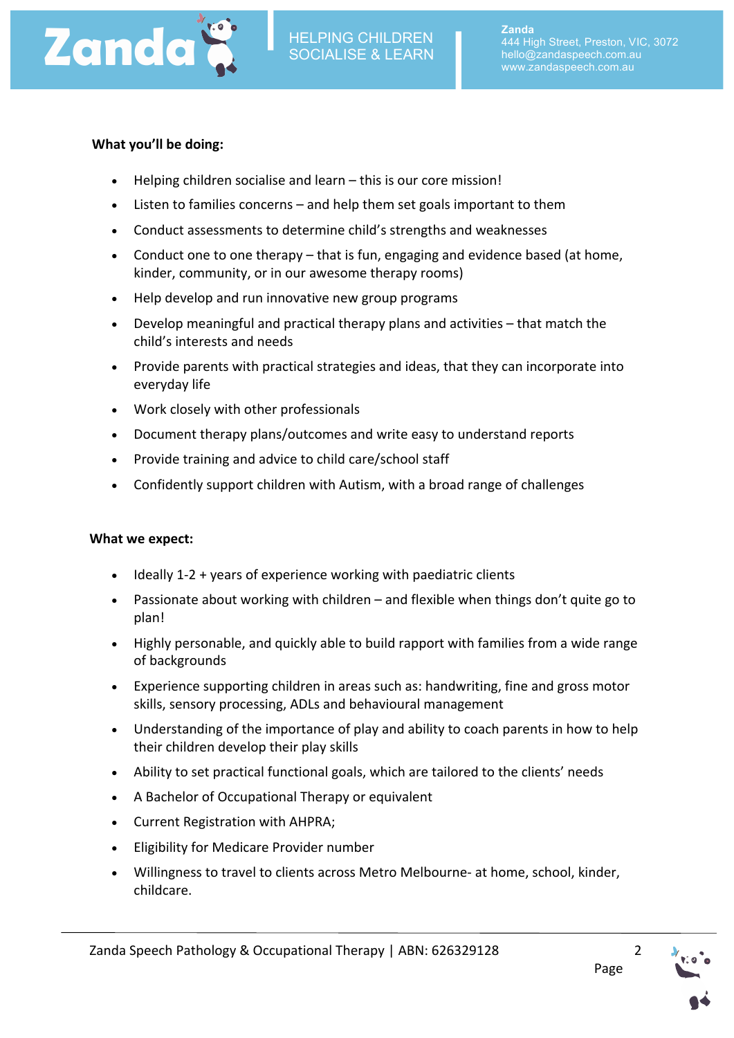

## **What you'll be doing:**

- $\bullet$  Helping children socialise and learn this is our core mission!
- Listen to families concerns and help them set goals important to them
- Conduct assessments to determine child's strengths and weaknesses
- Conduct one to one therapy that is fun, engaging and evidence based (at home, kinder, community, or in our awesome therapy rooms)
- Help develop and run innovative new group programs
- Develop meaningful and practical therapy plans and activities  $-$  that match the child's interests and needs
- Provide parents with practical strategies and ideas, that they can incorporate into everyday life
- Work closely with other professionals
- Document therapy plans/outcomes and write easy to understand reports
- Provide training and advice to child care/school staff
- Confidently support children with Autism, with a broad range of challenges

#### **What we expect:**

- $\bullet$  Ideally 1-2 + years of experience working with paediatric clients
- Passionate about working with children and flexible when things don't quite go to plan!
- Highly personable, and quickly able to build rapport with families from a wide range of backgrounds
- Experience supporting children in areas such as: handwriting, fine and gross motor skills, sensory processing, ADLs and behavioural management
- Understanding of the importance of play and ability to coach parents in how to help their children develop their play skills
- Ability to set practical functional goals, which are tailored to the clients' needs
- A Bachelor of Occupational Therapy or equivalent
- Current Registration with AHPRA;
- Eligibility for Medicare Provider number
- Willingness to travel to clients across Metro Melbourne- at home, school, kinder, childcare.

2